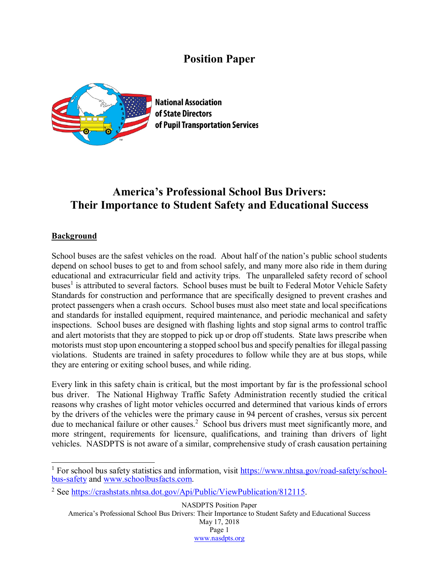## **Position Paper**



**National Association** of State Directors of Pupil Transportation Services

# **America's Professional School Bus Drivers: Their Importance to Student Safety and Educational Success**

#### **Background**

School buses are the safest vehicles on the road. About half of the nation's public school students depend on school buses to get to and from school safely, and many more also ride in them during educational and extracurricular field and activity trips. The unparalleled safety record of school buses<sup>1</sup> is attributed to several factors. School buses must be built to Federal Motor Vehicle Safety Standards for construction and performance that are specifically designed to prevent crashes and protect passengers when a crash occurs. School buses must also meet state and local specifications and standards for installed equipment, required maintenance, and periodic mechanical and safety inspections. School buses are designed with flashing lights and stop signal arms to control traffic and alert motorists that they are stopped to pick up or drop off students. State laws prescribe when motorists must stop upon encountering a stopped school bus and specify penalties for illegal passing violations. Students are trained in safety procedures to follow while they are at bus stops, while they are entering or exiting school buses, and while riding.

Every link in this safety chain is critical, but the most important by far is the professional school bus driver. The National Highway Traffic Safety Administration recently studied the critical reasons why crashes of light motor vehicles occurred and determined that various kinds of errors by the drivers of the vehicles were the primary cause in 94 percent of crashes, versus six percent due to mechanical failure or other causes.<sup>2</sup> School bus drivers must meet significantly more, and more stringent, requirements for licensure, qualifications, and training than drivers of light vehicles. NASDPTS is not aware of a similar, comprehensive study of crash causation pertaining

NASDPTS Position Paper America's Professional School Bus Drivers: Their Importance to Student Safety and Educational Success

May 17, 2018 Page 1 [www.nasdpts.org](http://www.nasdpts.org/)

<sup>&</sup>lt;sup>1</sup> For school bus safety statistics and information, visit [https://www.nhtsa.gov/road-safety/school](https://www.nhtsa.gov/road-safety/school-bus-safety)[bus-safety](https://www.nhtsa.gov/road-safety/school-bus-safety) and [www.schoolbusfacts.com.](http://www.schoolbusfacts.com/)

<sup>&</sup>lt;sup>2</sup> See [https://crashstats.nhtsa.dot.gov/Api/Public/ViewPublication/812115.](https://crashstats.nhtsa.dot.gov/Api/Public/ViewPublication/812115)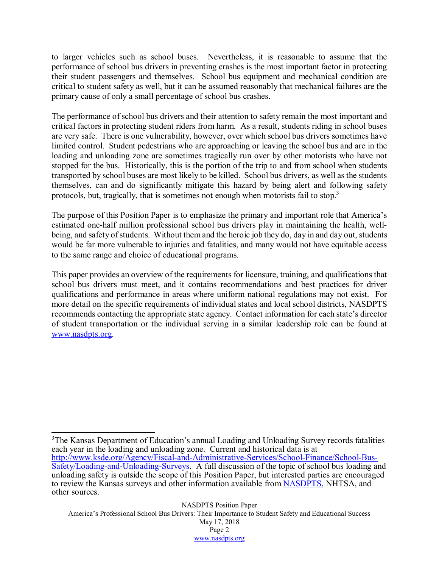to larger vehicles such as school buses. Nevertheless, it is reasonable to assume that the performance of school bus drivers in preventing crashes is the most important factor in protecting their student passengers and themselves. School bus equipment and mechanical condition are critical to student safety as well, but it can be assumed reasonably that mechanical failures are the primary cause of only a small percentage of school bus crashes.

The performance of school bus drivers and their attention to safety remain the most important and critical factors in protecting student riders from harm. As a result, students riding in school buses are very safe. There is one vulnerability, however, over which school bus drivers sometimes have limited control. Student pedestrians who are approaching or leaving the school bus and are in the loading and unloading zone are sometimes tragically run over by other motorists who have not stopped for the bus. Historically, this is the portion of the trip to and from school when students transported by school buses are most likely to be killed. School bus drivers, as well as the students themselves, can and do significantly mitigate this hazard by being alert and following safety protocols, but, tragically, that is sometimes not enough when motorists fail to stop.<sup>3</sup>

The purpose of this Position Paper is to emphasize the primary and important role that America's estimated one-half million professional school bus drivers play in maintaining the health, wellbeing, and safety of students. Without them and the heroic job they do, day in and day out, students would be far more vulnerable to injuries and fatalities, and many would not have equitable access to the same range and choice of educational programs.

This paper provides an overview of the requirements for licensure, training, and qualifications that school bus drivers must meet, and it contains recommendations and best practices for driver qualifications and performance in areas where uniform national regulations may not exist. For more detail on the specific requirements of individual states and local school districts, NASDPTS recommends contacting the appropriate state agency. Contact information for each state's director of student transportation or the individual serving in a similar leadership role can be found at [www.nasdpts.org.](http://www.nasdpts.org/)

<sup>&</sup>lt;sup>3</sup>The Kansas Department of Education's annual Loading and Unloading Survey records fatalities each year in the loading and unloading zone. Current and historical data is at [http://www.ksde.org/Agency/Fiscal-and-Administrative-Services/School-Finance/School-Bus-](http://www.ksde.org/Agency/Fiscal-and-Administrative-Services/School-Finance/School-Bus-Safety/Loading-and-Unloading-Surveys)[Safety/Loading-and-Unloading-Surveys.](http://www.ksde.org/Agency/Fiscal-and-Administrative-Services/School-Finance/School-Bus-Safety/Loading-and-Unloading-Surveys) A full discussion of the topic of school bus loading and unloading safety is outside the scope of this Position Paper, but interested parties are encouraged to review the Kansas surveys and other information available from [NASDPTS,](http://www.nasdpts.org/StopArm/index.html) NHTSA, and other sources.

America's Professional School Bus Drivers: Their Importance to Student Safety and Educational Success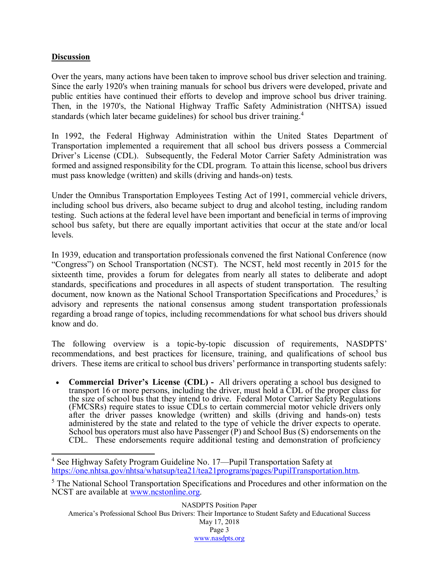### **Discussion**

Over the years, many actions have been taken to improve school bus driver selection and training. Since the early 1920's when training manuals for school bus drivers were developed, private and public entities have continued their efforts to develop and improve school bus driver training. Then, in the 1970's, the National Highway Traffic Safety Administration (NHTSA) issued standards (which later became guidelines) for school bus driver training.<sup>4</sup>

In 1992, the Federal Highway Administration within the United States Department of Transportation implemented a requirement that all school bus drivers possess a Commercial Driver's License (CDL). Subsequently, the Federal Motor Carrier Safety Administration was formed and assigned responsibility for the CDL program. To attain this license, school bus drivers must pass knowledge (written) and skills (driving and hands-on) tests.

Under the Omnibus Transportation Employees Testing Act of 1991, commercial vehicle drivers, including school bus drivers, also became subject to drug and alcohol testing, including random testing. Such actions at the federal level have been important and beneficial in terms of improving school bus safety, but there are equally important activities that occur at the state and/or local levels.

In 1939, education and transportation professionals convened the first National Conference (now "Congress") on School Transportation (NCST). The NCST, held most recently in 2015 for the sixteenth time, provides a forum for delegates from nearly all states to deliberate and adopt standards, specifications and procedures in all aspects of student transportation. The resulting document, now known as the National School Transportation Specifications and Procedures,<sup>5</sup> is advisory and represents the national consensus among student transportation professionals regarding a broad range of topics, including recommendations for what school bus drivers should know and do.

The following overview is a topic-by-topic discussion of requirements, NASDPTS' recommendations, and best practices for licensure, training, and qualifications of school bus drivers. These items are critical to school bus drivers' performance in transporting students safely:

• **Commercial Driver's License (CDL) -** All drivers operating a school bus designed to transport 16 or more persons, including the driver, must hold a CDL of the proper class for the size of school bus that they intend to drive. Federal Motor Carrier Safety Regulations (FMCSRs) require states to issue CDLs to certain commercial motor vehicle drivers only after the driver passes knowledge (written) and skills (driving and hands-on) tests administered by the state and related to the type of vehicle the driver expects to operate. administered by the state and related to the type of vehicle the driver expects to operate. School bus operators must also have Passenger (P) and School Bus (S) endorsements on the CDL. These endorsements require additional testing and demonstration of proficiency

<sup>4</sup> See Highway Safety Program Guideline No. 17—Pupil Transportation Safety at [https://one.nhtsa.gov/nhtsa/whatsup/tea21/tea21programs/pages/PupilTransportation.htm.](https://one.nhtsa.gov/nhtsa/whatsup/tea21/tea21programs/pages/PupilTransportation.htm)

<sup>&</sup>lt;sup>5</sup> The National School Transportation Specifications and Procedures and other information on the NCST are available at [www.ncstonline.org.](http://www.ncstonline.org/)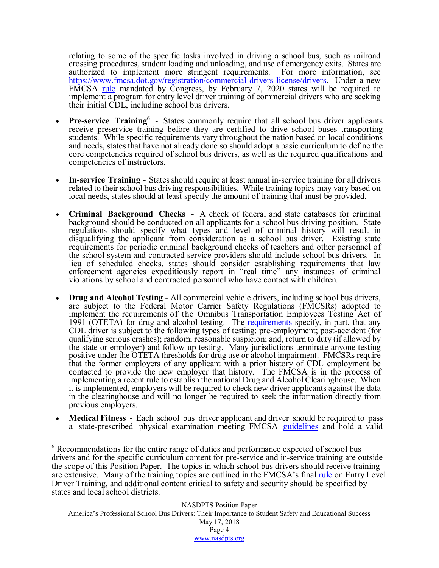relating to some of the specific tasks involved in driving a school bus, such as railroad crossing procedures, student loading and unloading, and use of emergency exits. States are authorized to implement more stringent requirements. For more information, see [https://www.fmcsa.dot.gov/registration/commercial-drivers-license/drivers.](https://www.fmcsa.dot.gov/registration/commercial-drivers-license/drivers) Under a new FMCSA <u>[rule](https://www.fmcsa.dot.gov/registration/commercial-drivers-license/eldt)</u> mandated by Congress, by February 7, 2020 states will be required to implement a program for entry level driver training of commercial drivers who are seeking their initial CDL, including school bus drivers.

- **Pre-service Training**<sup>6</sup> States commonly require that all school bus driver applicants receive preservice training before they are certified to drive school buses transporting students. While specific requirements vary throughout the nation based on local conditions and needs, states that have not already done so should adopt a basic curriculum to define the core competencies required of school bus drivers, as well as the required qualifications and competencies of instructors.
- **In-service Training** States should require at least annual in-service training for all drivers related to their school bus driving responsibilities. While training topics may vary based on local needs, states should at least specify the amount of training that must be provided.
- **Criminal Background Checks** A check of federal and state databases for criminal background should be conducted on all applicants for a school bus driving position. State regulations should specify what types and level of criminal history will result in disqualifying the applicant from consideration as a school bus driver. Existing state requirements for periodic criminal background checks of teachers and other personnel of the school system and contracted service providers should include school bus drivers. In lieu of scheduled checks, states should consider establishing requirements that law enforcement agencies expeditiously report in "real time" any instances of criminal violations by school and contracted personnel who have contact with children.
- **Drug and Alcohol Testing** All commercial vehicle drivers, including school bus drivers, are subject to the Federal Motor Carrier Safety Regulations (FMCSRs) adopted to implement the requirements of the Omnibus Transportation Employees Testing Act of 1991 (OTETA) for drug and alcohol testing. The [requirements](https://www.fmcsa.dot.gov/regulations/drug-alcohol-testing-program) specify, in part, that any CDL driver is subject to the following types of testing: pre-employment; post-accident (for qualifying serious crashes); random; reasonable suspicion; and, return to duty (if allowed by the state or employer) and follow-up testing. Many jurisdictions terminate anyone testing positive under the OTETA thresholds for drug use or alcohol impairment. FMCSRs require that the former employers of any applicant with a prior history of CDL employment be contacted to provide the new employer that history. The FMCSA is in the process of implementing a recent rule to establish the national Drug and Alcohol Clearinghouse. When it is implemented, employers will be required to check new driver applicants against the data in the clearinghouse and will no longer be required to seek the information directly from previous employers.
- **Medical Fitness** Each school bus driver applicant and driver should be required to pass a state-prescribed physical examination meeting FMCSA [guidelines](https://www.fmcsa.dot.gov/medical/driver-medical-requirements/driver-medical-fitness-duty) and hold a valid

America's Professional School Bus Drivers: Their Importance to Student Safety and Educational Success

May 17, 2018 Page 4 [www.nasdpts.org](http://www.nasdpts.org/)

<sup>&</sup>lt;sup>6</sup> Recommendations for the entire range of duties and performance expected of school bus drivers and for the specific curriculum content for pre-service and in-service training are outside the scope of this Position Paper. The topics in which school bus drivers should receive training are extensive. Many of the training topics are outlined in the FMCSA's final [rule](https://www.fmcsa.dot.gov/sites/fmcsa.dot.gov/files/docs/ELDT%20Final%20Rule%20Presentation%20Overview.pdf) on Entry Level Driver Training, and additional content critical to safety and security should be specified by states and local school districts.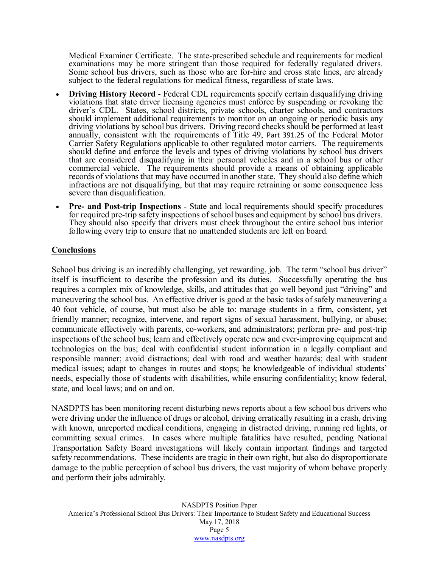Medical Examiner Certificate. The state-prescribed schedule and requirements for medical Some school bus drivers, such as those who are for-hire and cross state lines, are already subject to the federal regulations for medical fitness, regardless of state laws.

- **Driving History Record** Federal CDL requirements specify certain disqualifying driving violations that state driver licensing agencies must enforce by suspending or revoking the driver's CDL. States, school districts, private schools, charter schools, and contractors should implement additional requirements to monitor on an ongoing or periodic basis any driving violations by school bus drivers. Driving record checks should be performed at least annually, consistent with the requirements of Title 49, [Part 391.25](https://www.ecfr.gov/cgi-bin/retrieveECFR?gp=&SID=c94990b48cc1fa4b4e75cfdcba64c450&mc=true&n=sp49.5.391.c&r=SUBPART&ty=HTML) of the Federal Motor Carrier Safety Regulations applicable to other regulated motor carriers. The requirements should define and enforce the levels and types of driving violations by school bus drivers that are considered disqualifying in their personal vehicles and in a school bus or other commercial vehicle. The requirements should provide a means of obtaining applicable records of violations that may have occurred in another state. They should also define which infractions are not disqualifying, but that may require retraining or some consequence less severe than disqualification.
- **Pre- and Post-trip Inspections** State and local requirements should specify procedures for required pre-trip safety inspections of school buses and equipment by school bus drivers. They should also specify that drivers must check throughout the entire school bus interior following every trip to ensure that no unattended students are left on board.

#### **Conclusions**

School bus driving is an incredibly challenging, yet rewarding, job. The term "school bus driver" itself is insufficient to describe the profession and its duties. Successfully operating the bus requires a complex mix of knowledge, skills, and attitudes that go well beyond just "driving" and maneuvering the school bus. An effective driver is good at the basic tasks of safely maneuvering a 40 foot vehicle, of course, but must also be able to: manage students in a firm, consistent, yet friendly manner; recognize, intervene, and report signs of sexual harassment, bullying, or abuse; communicate effectively with parents, co-workers, and administrators; perform pre- and post-trip inspections of the school bus; learn and effectively operate new and ever-improving equipment and technologies on the bus; deal with confidential student information in a legally compliant and responsible manner; avoid distractions; deal with road and weather hazards; deal with student medical issues; adapt to changes in routes and stops; be knowledgeable of individual students' needs, especially those of students with disabilities, while ensuring confidentiality; know federal, state, and local laws; and on and on.

NASDPTS has been monitoring recent disturbing news reports about a few school bus drivers who were driving under the influence of drugs or alcohol, driving erratically resulting in a crash, driving with known, unreported medical conditions, engaging in distracted driving, running red lights, or committing sexual crimes. In cases where multiple fatalities have resulted, pending National Transportation Safety Board investigations will likely contain important findings and targeted safety recommendations. These incidents are tragic in their own right, but also do disproportionate damage to the public perception of school bus drivers, the vast majority of whom behave properly and perform their jobs admirably.